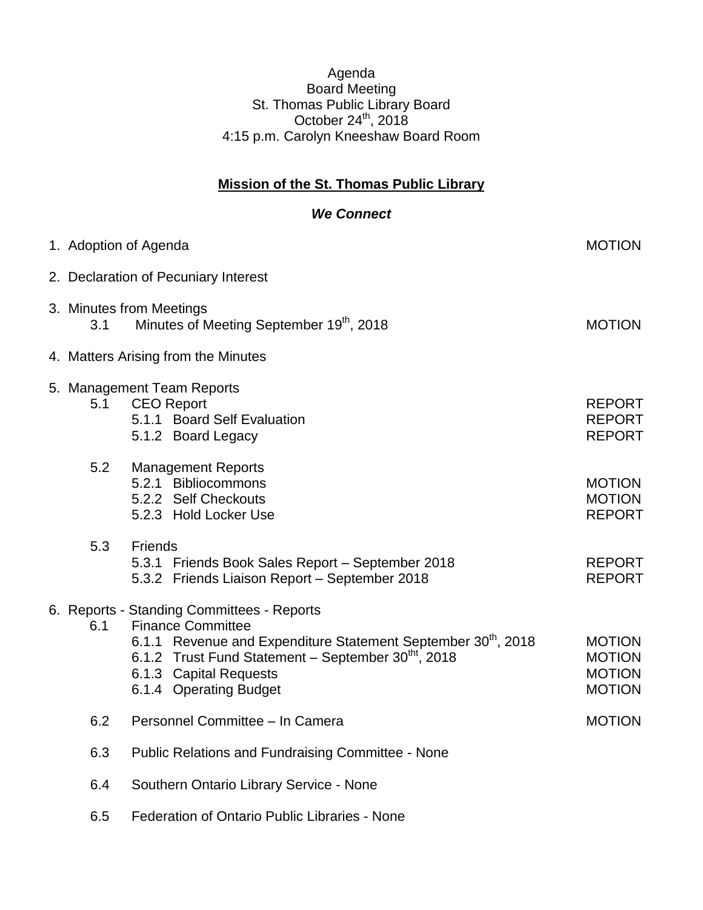## Agenda Board Meeting St. Thomas Public Library Board October 24 $th$ , 2018 4:15 p.m. Carolyn Kneeshaw Board Room

## **Mission of the St. Thomas Public Library**

## *We Connect*

|     | 1. Adoption of Agenda                                                                                                                                                                                                                                                      | <b>MOTION</b>                                                    |  |  |
|-----|----------------------------------------------------------------------------------------------------------------------------------------------------------------------------------------------------------------------------------------------------------------------------|------------------------------------------------------------------|--|--|
|     | 2. Declaration of Pecuniary Interest                                                                                                                                                                                                                                       |                                                                  |  |  |
| 3.1 | 3. Minutes from Meetings<br>Minutes of Meeting September 19th, 2018                                                                                                                                                                                                        | <b>MOTION</b>                                                    |  |  |
|     | 4. Matters Arising from the Minutes                                                                                                                                                                                                                                        |                                                                  |  |  |
| 5.1 | 5. Management Team Reports<br><b>CEO Report</b><br>5.1.1 Board Self Evaluation<br>5.1.2 Board Legacy                                                                                                                                                                       | <b>REPORT</b><br><b>REPORT</b><br><b>REPORT</b>                  |  |  |
| 5.2 | <b>Management Reports</b><br>5.2.1 Bibliocommons<br>5.2.2 Self Checkouts<br>5.2.3 Hold Locker Use                                                                                                                                                                          | <b>MOTION</b><br><b>MOTION</b><br><b>REPORT</b>                  |  |  |
| 5.3 | <b>Friends</b><br>5.3.1 Friends Book Sales Report - September 2018<br>5.3.2 Friends Liaison Report - September 2018                                                                                                                                                        | <b>REPORT</b><br><b>REPORT</b>                                   |  |  |
| 6.1 | 6. Reports - Standing Committees - Reports<br><b>Finance Committee</b><br>6.1.1 Revenue and Expenditure Statement September 30 <sup>th</sup> , 2018<br>6.1.2 Trust Fund Statement - September 30 <sup>tht</sup> , 2018<br>6.1.3 Capital Requests<br>6.1.4 Operating Budget | <b>MOTION</b><br><b>MOTION</b><br><b>MOTION</b><br><b>MOTION</b> |  |  |
| 6.2 | Personnel Committee - In Camera                                                                                                                                                                                                                                            | <b>MOTION</b>                                                    |  |  |
| 6.3 | <b>Public Relations and Fundraising Committee - None</b>                                                                                                                                                                                                                   |                                                                  |  |  |
| 6.4 | Southern Ontario Library Service - None                                                                                                                                                                                                                                    |                                                                  |  |  |
| 6.5 | Federation of Ontario Public Libraries - None                                                                                                                                                                                                                              |                                                                  |  |  |